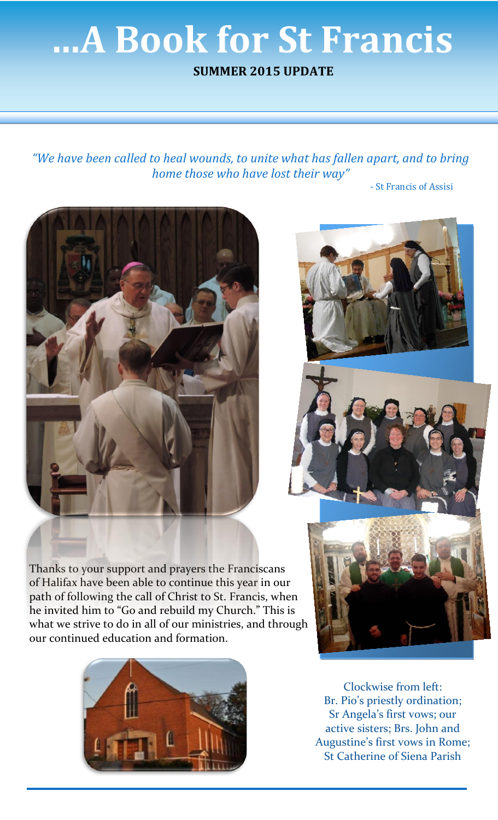## **…A Book for St Francis**

**SUMMER 2015 UPDATE**

*"We have been called to heal wounds, to unite what has fallen apart, and to bring home those who have lost their way"*

- St Francis of Assisi







Thanks to your support and prayers the Franciscans of Halifax have been able to continue this year in our path of following the call of Christ to St. Francis, when he invited him to "Go and rebuild my Church." This is what we strive to do in all of our ministries, and through our continued education and formation.



Clockwise from left: Br. Pio's priestly ordination; Sr Angela's first vows; our active sisters; Brs. John and Augustine's first vows in Rome; St Catherine of Siena Parish